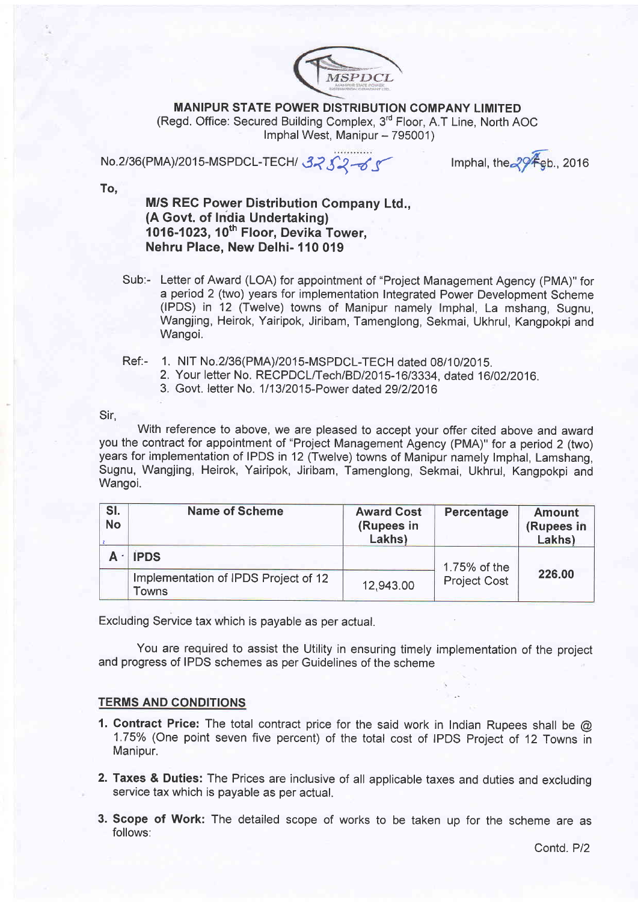

MANIPUR STATE POWER DISTRIBUTION COMPANY LIMITED (Regd. Office: Secured Building Complex, 3<sup>rd</sup> Floor, A.T Line, North AOC Imphal West, Manipur - 795001)

No.2/36(PMA)/2015-MSPDCL-TECH/ 3252-65

Imphal, the  $\sqrt[2]{\mathcal{F}}$ gb., 2016

To,

M/S REC Power Distribution Gompany Ltd., (A Govt. of India Undertaking) 1016-1023,  $10^{th}$  Floor, Devika Tower, Nehru Place, New Delhi- 110 019

- Sub:- Letter of Award (LOA) for appointment of "Project Management Agency (PMA)" for a period 2 (two) years for implementation Integrated Power Development Scheme (IPDS) in 12 (Twelve) towns of Manipur namely lmphal, La mshang, Sugnu, Wangjing, Heirok, Yairipok, Jiribam, Tamenglong, Sekmai, Ukhrul, Kangpokpi and Wangoi.
- Ref:- 1. NIT No.2/36(PMA)/2015-MSPDCL-TECH dated 08/10/2015.
	- 2. Your letter No. RECPDCL/Tech/BD/2015-16/3334, dated 16/02/2016.
	- 3. Govt. letter No. 111312015-Power dated 291212016

Sir.

With reference to above, we are pleased to accept your offer cited above and award you the contract for appointment of "Project Management Agency (PMA)" for a period 2 (two) years for implementation of IPDS in 12 (Twelve) towns of Manipur namely lmphal, Lamshang, Sugnu, Wangjing, Heirok, Yairipok, Jiribam, Tamenglong, Sekmai, Ukhrul, Kangpokpi and Wangoi.

| SI.<br><b>No</b> | <b>Name of Scheme</b>                         | <b>Award Cost</b><br>(Rupees in<br>Lakhs) | Percentage          | <b>Amount</b><br>(Rupees in<br>Lakhs) |
|------------------|-----------------------------------------------|-------------------------------------------|---------------------|---------------------------------------|
|                  | <b>IPDS</b>                                   |                                           | 1.75% of the        |                                       |
|                  | Implementation of IPDS Project of 12<br>Towns | 12,943.00                                 | <b>Project Cost</b> | 226.00                                |

Excluding Service tax which is payable as per actual.

You are required to assist the Utility in ensuring timely implementation of the project and progress of IPDS schemes as per Guidelines of the scheme

## TERMS AND CONDITIONS

- 1. Contract Price: The total contract price for the said work in Indian Rupees shall be @ 1.75% (One point seven five percent) of the total cost of IPDS Project of 12 Towns in Manipur.
- 2. Taxes & Duties: The Prices are inclusive of all applicable taxes and duties and excluding service tax which is payable as per actual.
- 3. Scope of Work: The detailed scope of works to be taken up for the scheme are as follows: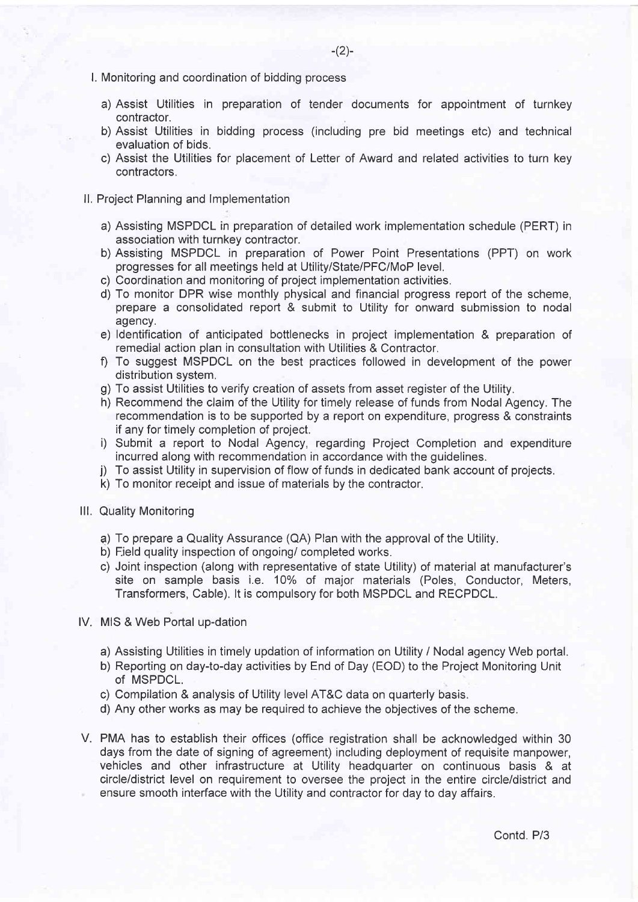- l. Monitoring and coordination of bidding process
	- a) Assist Utilities in preparation of tender documents for appointment of turnkey contractor.
	- b) Assist Utilities in bidding process (including pre bid meetings etc) and technical evaluation of bids.
	- c) Assist the Utilities for placement of Letter of Award and related activities to turn key contractors.
- ll. Project Planning and lmplementation
	- a) Assisting MSPDCL in preparation of detailed work implementation schedule (PERT) in association with turnkey contractor.
	- b) Assisting MSPDCL in preparation of Power Point Presentations (PPT) on work progresses for all meetings held at UtilityiState/PFC/MoP level.
	- c) Coordination and monitoring of project implementation activities.
	- d) To monitor DPR wise monthly physical and financial progress report of the scheme, prepare a consolidated report & submit to Utility for onward submission to nodal agency.
	- e) ldentification of anticipated bottlenecks in project implementation & preparation of remedial action plan in consultation with Utilities & Contractor.
	- 0 To suggest MSPDCL on the best practices followed in development of the power distribution system.
	- g) To assist Utilities to verify creation of assets from asset register of the Utility.
	- h) Recommend the claim of the Utility for timely release of funds from Nodal Agency. The recommendation is to be supported by a report on expenditure, progress & constraints if any for timely completion of project.
	- i) Submit a report to Nodal Agency, regarding Project Completion and expenditure incurred along with recommendation in accordance with the quidelines.
	- j) To assist Utility in supervision of flow of funds in dedicated bank account of projects.
	- k) To monitor receipt and issue of materials by the contractor.
- lll. Quality Monitoring
	- ?) To prepare a Quality Assurance (QA) Plan with the approval of the Utility.
	- b) Field quality inspection of ongoing/ completed works.
	- c) Joint inspection (along with representative of state Utility) of material at manufacturer's site on sample basis i.e. 10% of major materials (Poles, Conductor, Meters, Transformers, Cable). lt is compulsory for both MSPDCL and RECPDCL.
- lV. MIS & Web Portal up-dation
	- a) Assisting Utilities in timely updation of information on Utility / Nodal agency Web portal.
	- b) Reporting on day-to-day activities by End of Day (EOD) to the Project Monitoring Unit of MSPDCL.
	- c) Compilation & analysis of Utility level AT&C data on quarterly basis.
	- d) Any other works as may be required to achieve the objectives of the scheme.
- V. PMA has to establish their offices (office registration shall be acknowledged within <sup>30</sup> days from the date of signing of agreement) including deployment of requisite manpower, vehicles and other infrastructure at Utility headquarler on continuous basis & at circle/district level on requirement to oversee the project in the entire circle/district and ensure smooth interface with the Utility and contractor for day to day affairs.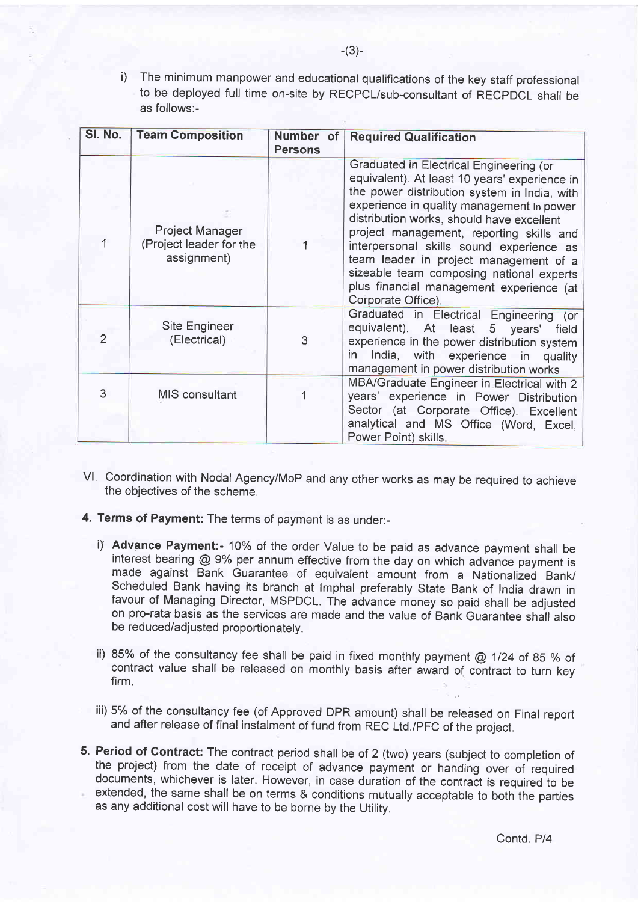i) The minimum manpower and educational qualifications of the key staff professional to be deployed full time on-site by RECPCl/sub-consultant of RECPDCL shall be as follows:-

| SI. No. | <b>Team Composition</b>                                   | Number of<br><b>Persons</b> | <b>Required Qualification</b>                                                                                                                                                                                                                                                                                                                                                                                                                                                      |
|---------|-----------------------------------------------------------|-----------------------------|------------------------------------------------------------------------------------------------------------------------------------------------------------------------------------------------------------------------------------------------------------------------------------------------------------------------------------------------------------------------------------------------------------------------------------------------------------------------------------|
|         | Project Manager<br>(Project leader for the<br>assignment) |                             | Graduated in Electrical Engineering (or<br>equivalent). At least 10 years' experience in<br>the power distribution system in India, with<br>experience in quality management In power<br>distribution works, should have excellent<br>project management, reporting skills and<br>interpersonal skills sound experience as<br>team leader in project management of a<br>sizeable team composing national experts<br>plus financial management experience (at<br>Corporate Office). |
| 2       | Site Engineer<br>(Electrical)                             | 3                           | Graduated in Electrical Engineering (or<br>equivalent). At least 5 years' field<br>experience in the power distribution system<br>in India, with experience in quality<br>management in power distribution works                                                                                                                                                                                                                                                                   |
| 3       | MIS consultant                                            |                             | MBA/Graduate Engineer in Electrical with 2<br>years' experience in Power Distribution<br>Sector (at Corporate Office). Excellent<br>analytical and MS Office (Word, Excel,<br>Power Point) skills.                                                                                                                                                                                                                                                                                 |

- Vl, Coordination with Nodal AgencyiMoP and any other works as may be required to achieve the objectives of the scheme.
- 4. Terms of Payment: The terms of payment is as under:
	- i)<sup>.</sup> Advance Payment:- 10% of the order Value to be paid as advance payment shall be interest bearing  $@9\%$  per annum effective from the day on which advance payment is made against Bank Guarantee of equivalent amount from a Nationalized Bank/ Scheduled Bank having its branch at lmphal preferably State Bank of India drawn in favour of Managing Director, MSPDCL. The advance money so paid shall be adjusted on pro-rata'basis as the services are made and the value of Bank Guarantee shall also be reduced/adjusted proportionately.
	- ii) 85% of the consultancy fee shall be paid in fixed monthly payment @ 1124 of 85 % of contract value shall be released on monthly basis after award of contract to turn key firm.
	- iii) 5% of the consultancy fee (of Approved DPR amount) shall be released on Final report and after release of final instalment of fund from REC Ltd./PFC of the project.
- 5. Period of Contract: The contract period shall be of 2 (two) years (subject to completion of the project) from the date of receipt of advance payment or handing over of required documents, whichever is later. However, in case duration of the contract is required to be extended, the same shall be on terms & conditions mutually acceptable to both the parties as any additional cost will have to be borne by the Utility.

Contd. P/4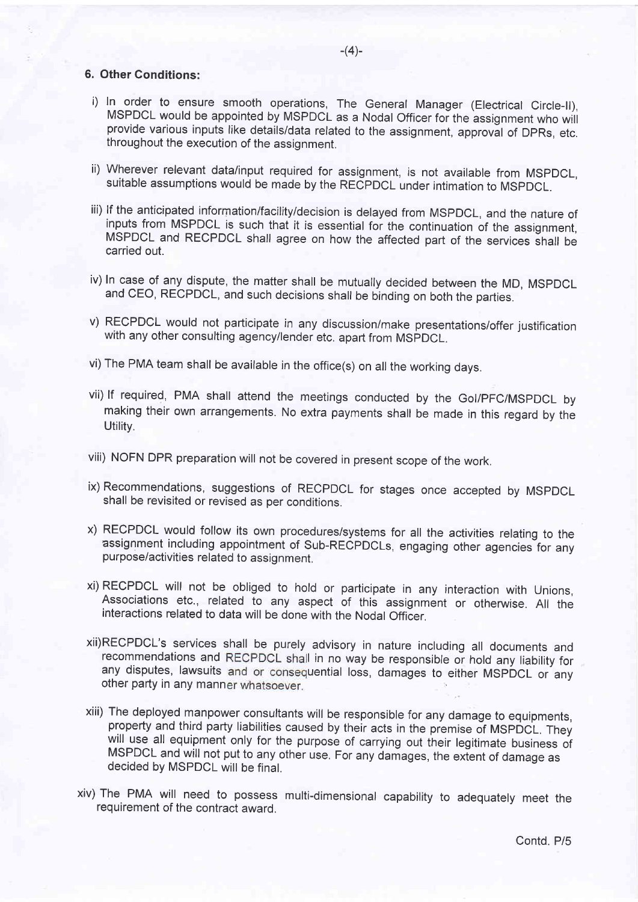## 6. Other Conditions:

- i) In order to ensure smooth operations, The General Manager (Electrical Circle-ll), MSPDCL would be appointed by MSPDCL as a Nodal Officer for the assignment who will provide various inputs like details/data related to the assignment, approval of DPRs, etc. throughout the execution of the assignment.
- ii) Wherever relevant data/input required for assignment, is not available from MSPDCL, suitable assumptions would be made by the RECPDCL under intimation to MSpDCL.
- iii) lf the anticipated information/facilityidecision is delayed from MSPDCL, and the nature of inputs from MSPDCL is such that it is essential for the continuation of the assignment, MSPDCL and RECPDCL shall agree on how the affected part of the services shall be carried out.
- iv) In case of any dispute, the matter shall be mutually decided between the MD, MSPDCL and CEO, RECPDCL, and such decisions shall be binding on both the parties.
- v) RECPDCL would not participate in any discussion/make presentations/offer justification with any other consulting agency/lender etc. apart from MSpDCL.
- vi) The PMA team shall be available in the office(s) on all the working days.
- vii) lf required, PMA shall attend the meetings conducted by the Gol/pFC/MSpDCL by making their own arrangements. No extra payments shall be made in this regard by the Utility.
- viii) NOFN DPR preparation will not be covered in present scope of the work.
- ix) Recommendations, suggestions of RECPDCL for stages once accepted by MSPDCL shall be revisited or revised as per conditions.
- x) RECPDCL would follow its own procedures/systems for all the activities relating to the assignment including appointment of Sub-RECPDCLs, engaging other agencies for any purpose/activities related to assignment.
- xi) RECPDCL will not be obliged to hold or participate in any interaction with Unions, Associations etc., related to any aspect of this assignment or otherwise. All the interactions related to data will be done with the Nodal officer.
- xii)RECPDCL's services shall be purely advisory in nature including all documents and recommendations and RECPDCL shall in no way be responsible or hold any liability for any disputes, lawsuits and or consequential loss, damages to either MSPDCL or any other party in any manner whatsoever.
- xiii) The deployed manpower consultants will be responsible for any damage to equipments, will use all equipment only for the purpose of carrying out their legitimate business of MSPDCL and will not put to any other use. For any damages, the extent of damage as decided by MSPDCL wiil be finat.
- xiv) The PMA will need to possess multi-dimensional capability to adequately meet the requirement of the contract award.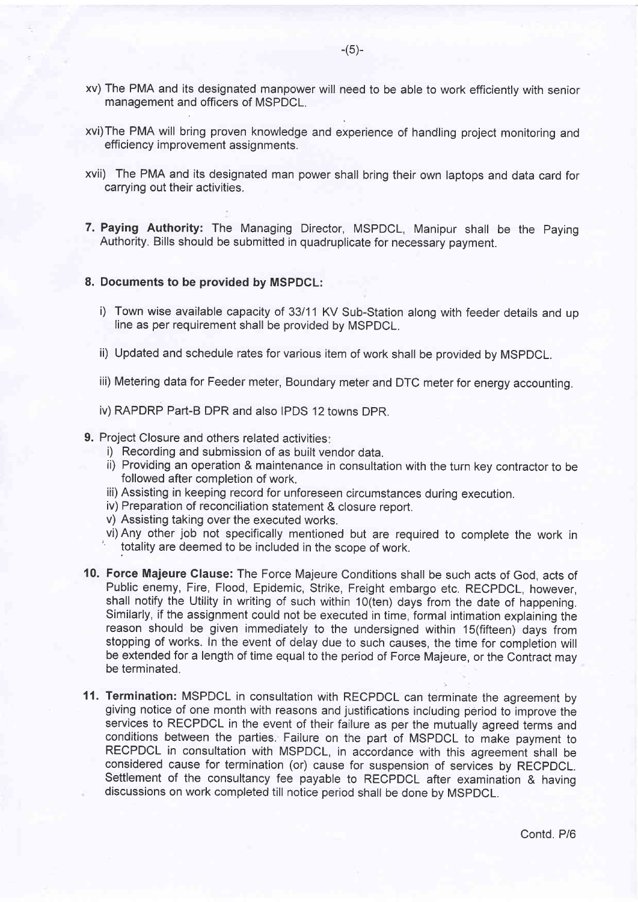- xv) The PMA and its designated manpower will need to be able to work efficiently with senior management and officers of MSPDCL.
- xvi)The PMA will bring proven knowledge and experience of handling project monitoring and efficiency improvement assignments.
- xvii) The PMA and its designated man power shall bring their own laptops and data card for carrying out their activities.
- 7. Paying Authority: The Managing Director, MSPDCL, Manipur shall be the Paying Authority. Bills should be submitted in quadruplicate for necessary payment.

## 8. Documents to be provided by MSPDCL:

- i) Town wise available capacity of 33/11 KV Sub-Station along with feeder details and up line as per requirement shall be provided by MSPDCL.
- ii) Updated and schedule rates for various item of work shall be provided by MSPDCL.
- iii) Metering data for Feeder meter, Boundary meter and DTC meter for energy accounting.
- iv) RAPDRP Part-B DPR and also IPDS 12 towns DPR.
- 9. Project Closure and others related activities:
	- i) Recording and submission of as built vendor data.
	- ii) Providing an operation & maintenance in consultation with the turn key contractor to be followed after completion of work.
	- iii) Assisting in keeping record for unforeseen circumstances during execution.
	- iv) Preparation of reconciliation statement & closure report.
	- v) Assisting taking over the executed works.
	- vi) Any other job not specifically mentioned but are required to complete the work in totality are deemed to be included in the scope of work.
- 10. Force Majeure Clause: The Force Majeure Conditions shall be such acts of God, acts of Public enemy, Fire, Flood, Epidemic, Strike, Freight embargo etc. RECPDCL, however, shall notify the Utility in writing of such within 1O(ten) days from the date of happening. Similarly, if the assignment could not be executed in time, formal intimation explaining the reason should be given immediately to the undersigned within 1S(fifteen) days from stopping of works. In the event of delay due to such causes, the time for completion will be extended for a length of time equal to the period of Force Majeure, or the Contract may be terminated.
- 11. Termination: MSPDCL in consultation with RECPDCL can terminate the agreement by giving notice of one month with reasons and justifications including period to improve the services to RECPDCL in the event of their failure as per the mutually agreed terms and conditions between the parties. Failure on the part of MSPDCL to make payment to RECPDCL in consultation with MSPDCL, in accordance with this agreement shall be considered cause for termination (or) cause for suspension of services by RECPDCL. Settlement of the consultancy fee payable to RECPDCL after examination & having discussions on work completed till notice period shall be done by MSPDCL.